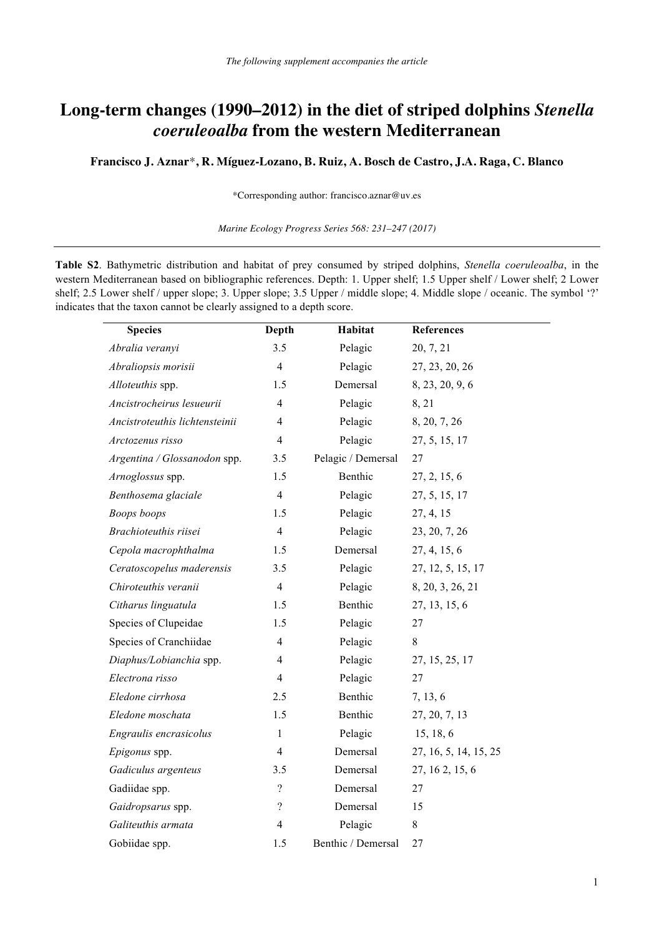## **Long-term changes (1990–2012) in the diet of striped dolphins** *Stenella coeruleoalba* **from the western Mediterranean**

**Francisco J. Aznar**\***, R. Míguez-Lozano, B. Ruiz, A. Bosch de Castro, J.A. Raga, C. Blanco** 

\*Corresponding author: francisco.aznar@uv.es

*Marine Ecology Progress Series 568: 231–247 (2017)*

**Table S2**. Bathymetric distribution and habitat of prey consumed by striped dolphins, *Stenella coeruleoalba*, in the western Mediterranean based on bibliographic references. Depth: 1. Upper shelf; 1.5 Upper shelf / Lower shelf; 2 Lower shelf; 2.5 Lower shelf / upper slope; 3. Upper slope; 3.5 Upper / middle slope; 4. Middle slope / oceanic. The symbol '?' indicates that the taxon cannot be clearly assigned to a depth score.

| <b>Species</b>                 | Depth                    | Habitat                     | References            |
|--------------------------------|--------------------------|-----------------------------|-----------------------|
| Abralia veranyi                | 3.5                      | Pelagic<br>20, 7, 21        |                       |
| Abraliopsis morisii            | $\overline{4}$           | Pelagic                     | 27, 23, 20, 26        |
| Alloteuthis spp.               | 1.5                      | Demersal<br>8, 23, 20, 9, 6 |                       |
| Ancistrocheirus lesueurii      | $\overline{4}$           | Pelagic                     | 8, 21                 |
| Ancistroteuthis lichtensteinii | $\overline{4}$           | Pelagic                     | 8, 20, 7, 26          |
| Arctozenus risso               | $\overline{4}$           | Pelagic                     | 27, 5, 15, 17         |
| Argentina / Glossanodon spp.   | 3.5                      | Pelagic / Demersal          | 27                    |
| Arnoglossus spp.               | 1.5                      | Benthic                     | 27, 2, 15, 6          |
| Benthosema glaciale            | $\overline{4}$           | Pelagic                     | 27, 5, 15, 17         |
| <b>Boops</b> boops             | 1.5                      | Pelagic                     | 27, 4, 15             |
| Brachioteuthis riisei          | $\overline{4}$           | Pelagic                     | 23, 20, 7, 26         |
| Cepola macrophthalma           | 1.5                      | Demersal                    | 27, 4, 15, 6          |
| Ceratoscopelus maderensis      | 3.5                      | Pelagic                     | 27, 12, 5, 15, 17     |
| Chiroteuthis veranii           | $\overline{4}$           | Pelagic                     | 8, 20, 3, 26, 21      |
| Citharus linguatula            | 1.5                      | Benthic                     | 27, 13, 15, 6         |
| Species of Clupeidae           | 1.5                      | Pelagic                     | 27                    |
| Species of Cranchiidae         | $\overline{\mathcal{L}}$ | Pelagic                     | $\,8$                 |
| Diaphus/Lobianchia spp.        | $\overline{4}$           | Pelagic                     | 27, 15, 25, 17        |
| Electrona risso                | $\overline{4}$           | Pelagic                     | 27                    |
| Eledone cirrhosa               | 2.5                      | Benthic                     | 7, 13, 6              |
| Eledone moschata               | 1.5                      | Benthic                     | 27, 20, 7, 13         |
| Engraulis encrasicolus         | $\mathbf{1}$             | Pelagic                     | 15, 18, 6             |
| Epigonus spp.                  | $\overline{4}$           | Demersal                    | 27, 16, 5, 14, 15, 25 |
| Gadiculus argenteus            | 3.5                      | Demersal                    | 27, 16 2, 15, 6       |
| Gadiidae spp.                  | $\overline{\mathcal{L}}$ | Demersal                    | 27                    |
| Gaidropsarus spp.              | $\overline{\mathcal{L}}$ | Demersal                    | 15                    |
| Galiteuthis armata             | 4                        | Pelagic                     | 8                     |
| Gobiidae spp.                  | 1.5                      | Benthic / Demersal          | 27                    |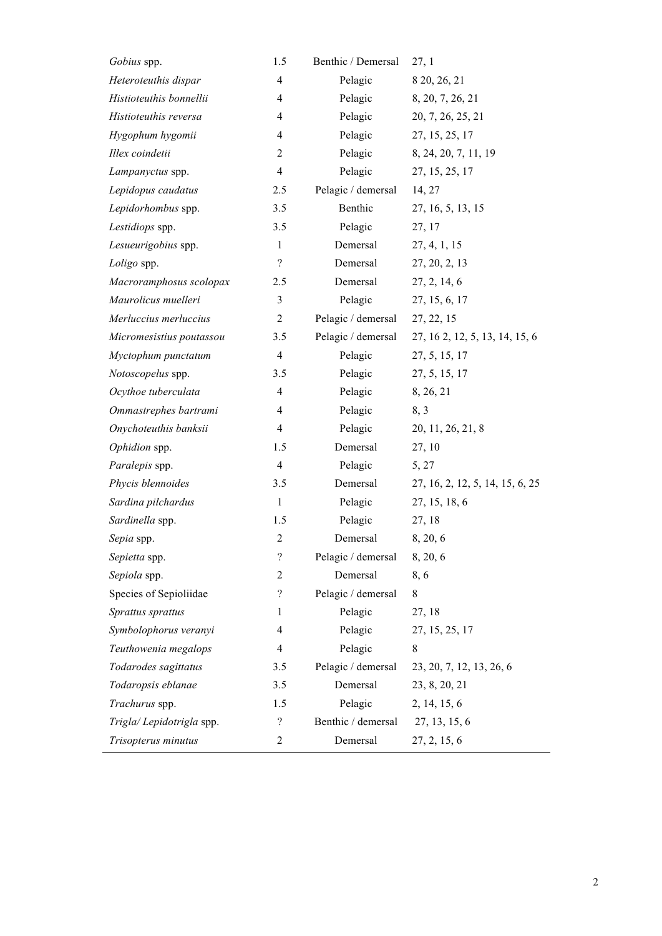| Gobius spp.              | 1.5                      | Benthic / Demersal | 27,1                            |  |
|--------------------------|--------------------------|--------------------|---------------------------------|--|
| Heteroteuthis dispar     | $\overline{4}$           | Pelagic            | 8 20, 26, 21                    |  |
| Histioteuthis bonnellii  | $\overline{4}$           | Pelagic            | 8, 20, 7, 26, 21                |  |
| Histioteuthis reversa    | 4                        | Pelagic            | 20, 7, 26, 25, 21               |  |
| Hygophum hygomii         | 4                        | Pelagic            | 27, 15, 25, 17                  |  |
| Illex coindetii          | 2                        | Pelagic            | 8, 24, 20, 7, 11, 19            |  |
| Lampanyctus spp.         | $\overline{4}$           | Pelagic            | 27, 15, 25, 17                  |  |
| Lepidopus caudatus       | 2.5                      | Pelagic / demersal | 14, 27                          |  |
| Lepidorhombus spp.       | 3.5                      | Benthic            | 27, 16, 5, 13, 15               |  |
| Lestidiops spp.          | 3.5                      | Pelagic            | 27, 17                          |  |
| Lesueurigobius spp.      | $\mathbf{1}$             | Demersal           | 27, 4, 1, 15                    |  |
| Loligo spp.              | $\overline{\mathcal{L}}$ | Demersal           | 27, 20, 2, 13                   |  |
| Macroramphosus scolopax  | 2.5                      | Demersal           | 27, 2, 14, 6                    |  |
| Maurolicus muelleri      | $\mathfrak{Z}$           | Pelagic            | 27, 15, 6, 17                   |  |
| Merluccius merluccius    | $\overline{c}$           | Pelagic / demersal | 27, 22, 15                      |  |
| Micromesistius poutassou | 3.5                      | Pelagic / demersal | 27, 16 2, 12, 5, 13, 14, 15, 6  |  |
| Myctophum punctatum      | $\overline{4}$           | Pelagic            | 27, 5, 15, 17                   |  |
| Notoscopelus spp.        | 3.5                      | Pelagic            | 27, 5, 15, 17                   |  |
| Ocythoe tuberculata      | $\overline{4}$           | Pelagic            | 8, 26, 21                       |  |
| Ommastrephes bartrami    | $\overline{4}$           | Pelagic            | 8, 3                            |  |
| Onychoteuthis banksii    | 4                        | Pelagic            | 20, 11, 26, 21, 8               |  |
| Ophidion spp.            | 1.5                      | Demersal           | 27, 10                          |  |
| Paralepis spp.           | $\overline{4}$           | Pelagic            | 5, 27                           |  |
| Phycis blennoides        | 3.5                      | Demersal           | 27, 16, 2, 12, 5, 14, 15, 6, 25 |  |
| Sardina pilchardus       | $\mathbf{1}$             | Pelagic            | 27, 15, 18, 6                   |  |
| Sardinella spp.          | 1.5                      | Pelagic            | 27, 18                          |  |
| Sepia spp.               | $\overline{2}$           | Demersal           | 8, 20, 6                        |  |
| Sepietta spp.            | $\boldsymbol{?}$         | Pelagic / demersal | 8, 20, 6                        |  |
| Sepiola spp.             | 2                        | Demersal           | 8,6                             |  |
| Species of Sepioliidae   | $\overline{?}$           | Pelagic / demersal | 8                               |  |
| Sprattus sprattus        | 1                        | Pelagic            | 27, 18                          |  |
| Symbolophorus veranyi    | 4                        | Pelagic            | 27, 15, 25, 17                  |  |
| Teuthowenia megalops     | 4                        | Pelagic            | 8                               |  |
| Todarodes sagittatus     | 3.5                      | Pelagic / demersal | 23, 20, 7, 12, 13, 26, 6        |  |
| Todaropsis eblanae       | 3.5                      | Demersal           | 23, 8, 20, 21                   |  |
| Trachurus spp.           | 1.5                      | Pelagic            | 2, 14, 15, 6                    |  |
| Trigla/Lepidotrigla spp. | $\overline{?}$           | Benthic / demersal | 27, 13, 15, 6                   |  |
| Trisopterus minutus      | $\overline{c}$           | Demersal           | 27, 2, 15, 6                    |  |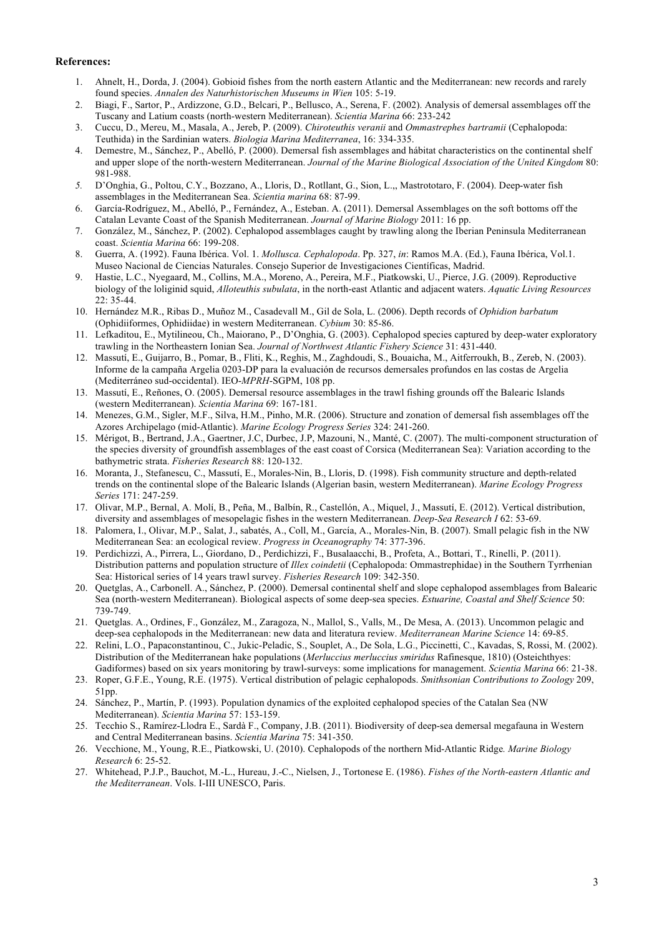## **References:**

- 1. Ahnelt, H., Dorda, J. (2004). Gobioid fishes from the north eastern Atlantic and the Mediterranean: new records and rarely found species. *Annalen des Naturhistorischen Museums in Wien* 105: 5-19.
- 2. Biagi, F., Sartor, P., Ardizzone, G.D., Belcari, P., Bellusco, A., Serena, F. (2002). Analysis of demersal assemblages off the Tuscany and Latium coasts (north-western Mediterranean). *Scientia Marina* 66: 233-242
- 3. Cuccu, D., Mereu, M., Masala, A., Jereb, P. (2009). *Chiroteuthis veranii* and *Ommastrephes bartramii* (Cephalopoda: Teuthida) in the Sardinian waters. *Biologia Marina Mediterranea*, 16: 334-335.
- 4. Demestre, M., Sánchez, P., Abelló, P. (2000). Demersal fish assemblages and hábitat characteristics on the continental shelf and upper slope of the north-western Mediterranean. *Journal of the Marine Biological Association of the United Kingdom* 80: 981-988.
- *5.* D'Onghia, G., Poltou, C.Y., Bozzano, A., Lloris, D., Rotllant, G., Sion, L.,, Mastrototaro, F. (2004). Deep-water fish assemblages in the Mediterranean Sea. *Scientia marina* 68: 87-99.
- 6. García-Rodríguez, M., Abelló, P., Fernández, A., Esteban. A. (2011). Demersal Assemblages on the soft bottoms off the Catalan Levante Coast of the Spanish Mediterranean. *Journal of Marine Biology* 2011: 16 pp.
- 7. González, M., Sánchez, P. (2002). Cephalopod assemblages caught by trawling along the Iberian Peninsula Mediterranean coast. *Scientia Marina* 66: 199-208.
- 8. Guerra, A. (1992). Fauna Ibérica. Vol. 1. *Mollusca. Cephalopoda*. Pp. 327, *in*: Ramos M.A. (Ed.), Fauna Ibérica, Vol.1. Museo Nacional de Ciencias Naturales. Consejo Superior de Investigaciones Científicas, Madrid.
- 9. Hastie, L.C., Nyegaard, M., Collins, M.A., Moreno, A., Pereira, M.F., Piatkowski, U., Pierce, J.G. (2009). Reproductive biology of the loliginid squid, *Alloteuthis subulata*, in the north-east Atlantic and adjacent waters. *Aquatic Living Resources*  $22 \cdot 35 - 44$
- 10. Hernández M.R., Ribas D., Muñoz M., Casadevall M., Gil de Sola, L. (2006). Depth records of *Ophidion barbatum* (Ophidiiformes, Ophidiidae) in western Mediterranean. *Cybium* 30: 85-86.
- 11. Lefkaditou, E., Mytilineou, Ch., Maiorano, P., D'Onghia, G. (2003). Cephalopod species captured by deep-water exploratory trawling in the Northeastern Ionian Sea. *Journal of Northwest Atlantic Fishery Science* 31: 431-440.
- 12. Massutí, E., Guijarro, B., Pomar, B., Fliti, K., Reghis, M., Zaghdoudi, S., Bouaicha, M., Aitferroukh, B., Zereb, N. (2003). Informe de la campaña Argelia 0203-DP para la evaluación de recursos demersales profundos en las costas de Argelia (Mediterráneo sud-occidental). IEO-*MPRH*-SGPM, 108 pp.
- 13. Massutí, E., Reñones, O. (2005). Demersal resource assemblages in the trawl fishing grounds off the Balearic Islands (western Mediterranean). *Scientia Marina* 69: 167-181.
- 14. Menezes, G.M., Sigler, M.F., Silva, H.M., Pinho, M.R. (2006). Structure and zonation of demersal fish assemblages off the Azores Archipelago (mid-Atlantic). *Marine Ecology Progress Series* 324: 241-260.
- 15. Mérigot, B., Bertrand, J.A., Gaertner, J.C, Durbec, J.P, Mazouni, N., Manté, C. (2007). The multi-component structuration of the species diversity of groundfish assemblages of the east coast of Corsica (Mediterranean Sea): Variation according to the bathymetric strata. *Fisheries Research* 88: 120-132.
- 16. Moranta, J., Stefanescu, C., Massutí, E., Morales-Nin, B., Lloris, D. (1998). Fish community structure and depth-related trends on the continental slope of the Balearic Islands (Algerian basin, western Mediterranean). *Marine Ecology Progress Series* 171: 247-259.
- 17. Olivar, M.P., Bernal, A. Molí, B., Peña, M., Balbín, R., Castellón, A., Miquel, J., Massutí, E. (2012). Vertical distribution, diversity and assemblages of mesopelagic fishes in the western Mediterranean. *Deep-Sea Research I* 62: 53-69.
- 18. Palomera, I., Olivar, M.P., Salat, J., sabatés, A., Coll, M., García, A., Morales-Nin, B. (2007). Small pelagic fish in the NW Mediterranean Sea: an ecological review. *Progress in Oceanography* 74: 377-396.
- 19. Perdichizzi, A., Pirrera, L., Giordano, D., Perdichizzi, F., Busalaacchi, B., Profeta, A., Bottari, T., Rinelli, P. (2011). Distribution patterns and population structure of *Illex coindetii* (Cephalopoda: Ommastrephidae) in the Southern Tyrrhenian Sea: Historical series of 14 years trawl survey. *Fisheries Research* 109: 342-350.
- 20. Quetglas, A., Carbonell. A., Sánchez, P. (2000). Demersal continental shelf and slope cephalopod assemblages from Balearic Sea (north-western Mediterranean). Biological aspects of some deep-sea species. *Estuarine, Coastal and Shelf Science* 50: 739-749.
- 21. Quetglas. A., Ordines, F., González, M., Zaragoza, N., Mallol, S., Valls, M., De Mesa, A. (2013). Uncommon pelagic and deep-sea cephalopods in the Mediterranean: new data and literatura review. *Mediterranean Marine Science* 14: 69-85.
- 22. Relini, L.O., Papaconstantinou, C., Jukic-Peladic, S., Souplet, A., De Sola, L.G., Piccinetti, C., Kavadas, S, Rossi, M. (2002). Distribution of the Mediterranean hake populations (*Merluccius merluccius smiridus* Rafinesque, 1810) (Osteichthyes: Gadiformes) based on six years monitoring by trawl-surveys: some implications for management. *Scientia Marina* 66: 21-38.
- 23. Roper, G.F.E., Young, R.E. (1975). Vertical distribution of pelagic cephalopods. *Smithsonian Contributions to Zoology* 209, 51pp.
- 24. Sánchez, P., Martín, P. (1993). Population dynamics of the exploited cephalopod species of the Catalan Sea (NW Mediterranean). *Scientia Marina* 57: 153-159.
- 25. Tecchio S., Ramírez-Llodra E., Sardà F., Company, J.B. (2011). Biodiversity of deep-sea demersal megafauna in Western and Central Mediterranean basins. *Scientia Marina* 75: 341-350.
- 26. Vecchione, M., Young, R.E., Piatkowski, U. (2010). Cephalopods of the northern Mid-Atlantic Ridge*. Marine Biology Research* 6: 25-52.
- 27. Whitehead, P.J.P., Bauchot, M.-L., Hureau, J.-C., Nielsen, J., Tortonese E. (1986). *Fishes of the North-eastern Atlantic and the Mediterranean*. Vols. I-III UNESCO, Paris.